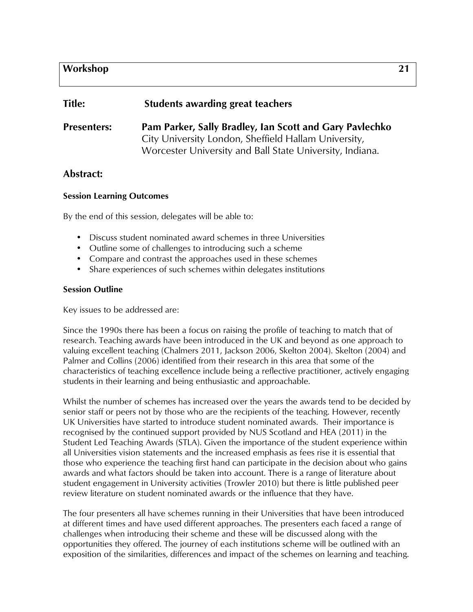## **Workshop 21**

# **Title: Students awarding great teachers**

**Presenters: Pam Parker, Sally Bradley, Ian Scott and Gary Pavlechko** City University London, Sheffield Hallam University, Worcester University and Ball State University, Indiana.

## **Abstract:**

#### **Session Learning Outcomes**

By the end of this session, delegates will be able to:

- Discuss student nominated award schemes in three Universities
- Outline some of challenges to introducing such a scheme
- Compare and contrast the approaches used in these schemes
- Share experiences of such schemes within delegates institutions

#### **Session Outline**

Key issues to be addressed are:

Since the 1990s there has been a focus on raising the profile of teaching to match that of research. Teaching awards have been introduced in the UK and beyond as one approach to valuing excellent teaching (Chalmers 2011, Jackson 2006, Skelton 2004). Skelton (2004) and Palmer and Collins (2006) identified from their research in this area that some of the characteristics of teaching excellence include being a reflective practitioner, actively engaging students in their learning and being enthusiastic and approachable.

Whilst the number of schemes has increased over the years the awards tend to be decided by senior staff or peers not by those who are the recipients of the teaching. However, recently UK Universities have started to introduce student nominated awards. Their importance is recognised by the continued support provided by NUS Scotland and HEA (2011) in the Student Led Teaching Awards (STLA). Given the importance of the student experience within all Universities vision statements and the increased emphasis as fees rise it is essential that those who experience the teaching first hand can participate in the decision about who gains awards and what factors should be taken into account. There is a range of literature about student engagement in University activities (Trowler 2010) but there is little published peer review literature on student nominated awards or the influence that they have.

The four presenters all have schemes running in their Universities that have been introduced at different times and have used different approaches. The presenters each faced a range of challenges when introducing their scheme and these will be discussed along with the opportunities they offered. The journey of each institutions scheme will be outlined with an exposition of the similarities, differences and impact of the schemes on learning and teaching.